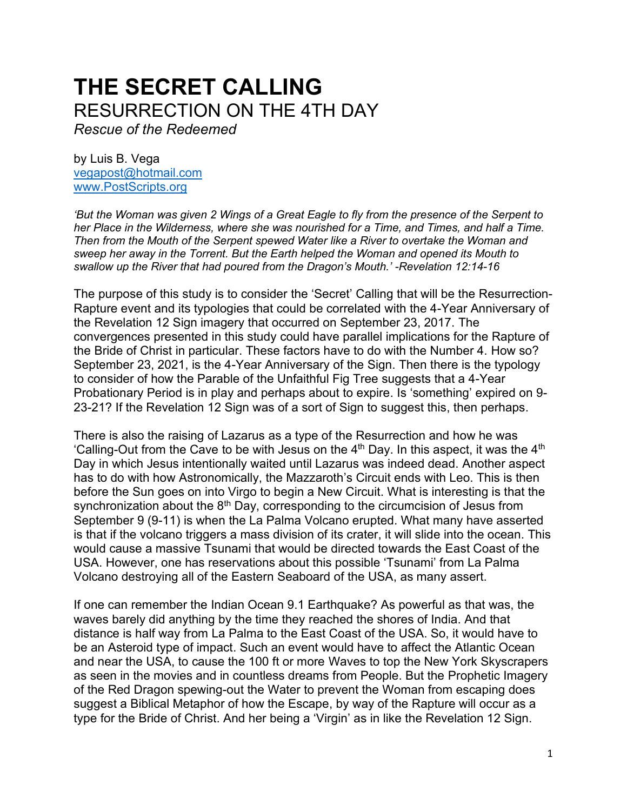## **THE SECRET CALLING** RESURRECTION ON THE 4TH DAY

*Rescue of the Redeemed*

by Luis B. Vega [vegapost@hotmail.com](mailto:vegapost@hotmail.com) [www.PostScripts.org](http://www.postscripts.org/)

*'But the Woman was given 2 Wings of a Great Eagle to fly from the presence of the Serpent to her Place in the Wilderness, where she was nourished for a Time, and Times, and half a Time. Then from the Mouth of the Serpent spewed Water like a River to overtake the Woman and sweep her away in the Torrent. But the Earth helped the Woman and opened its Mouth to swallow up the River that had poured from the Dragon's Mouth.' -Revelation 12:14-16*

The purpose of this study is to consider the 'Secret' Calling that will be the Resurrection-Rapture event and its typologies that could be correlated with the 4-Year Anniversary of the Revelation 12 Sign imagery that occurred on September 23, 2017. The convergences presented in this study could have parallel implications for the Rapture of the Bride of Christ in particular. These factors have to do with the Number 4. How so? September 23, 2021, is the 4-Year Anniversary of the Sign. Then there is the typology to consider of how the Parable of the Unfaithful Fig Tree suggests that a 4-Year Probationary Period is in play and perhaps about to expire. Is 'something' expired on 9- 23-21? If the Revelation 12 Sign was of a sort of Sign to suggest this, then perhaps.

There is also the raising of Lazarus as a type of the Resurrection and how he was 'Calling-Out from the Cave to be with Jesus on the 4<sup>th</sup> Day. In this aspect, it was the 4<sup>th</sup> Day in which Jesus intentionally waited until Lazarus was indeed dead. Another aspect has to do with how Astronomically, the Mazzaroth's Circuit ends with Leo. This is then before the Sun goes on into Virgo to begin a New Circuit. What is interesting is that the synchronization about the  $8<sup>th</sup>$  Day, corresponding to the circumcision of Jesus from September 9 (9-11) is when the La Palma Volcano erupted. What many have asserted is that if the volcano triggers a mass division of its crater, it will slide into the ocean. This would cause a massive Tsunami that would be directed towards the East Coast of the USA. However, one has reservations about this possible 'Tsunami' from La Palma Volcano destroying all of the Eastern Seaboard of the USA, as many assert.

If one can remember the Indian Ocean 9.1 Earthquake? As powerful as that was, the waves barely did anything by the time they reached the shores of India. And that distance is half way from La Palma to the East Coast of the USA. So, it would have to be an Asteroid type of impact. Such an event would have to affect the Atlantic Ocean and near the USA, to cause the 100 ft or more Waves to top the New York Skyscrapers as seen in the movies and in countless dreams from People. But the Prophetic Imagery of the Red Dragon spewing-out the Water to prevent the Woman from escaping does suggest a Biblical Metaphor of how the Escape, by way of the Rapture will occur as a type for the Bride of Christ. And her being a 'Virgin' as in like the Revelation 12 Sign.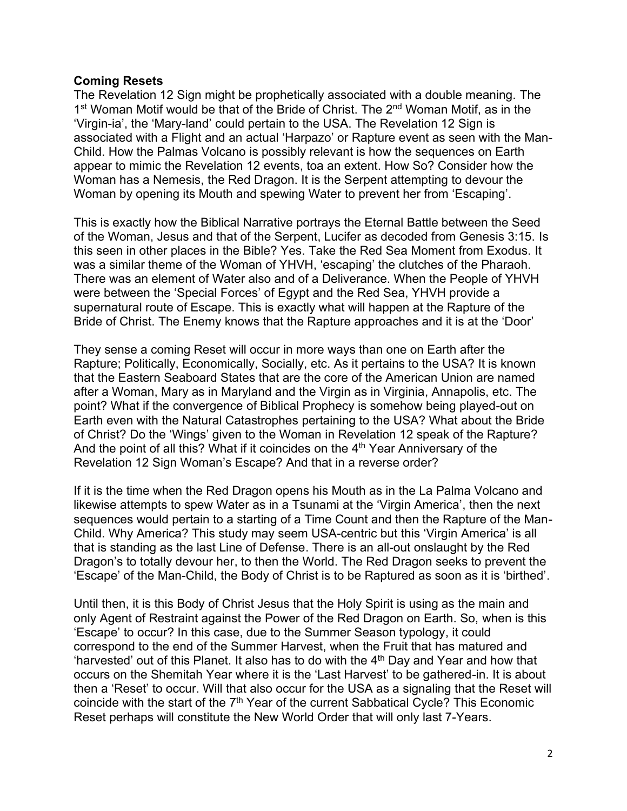## **Coming Resets**

The Revelation 12 Sign might be prophetically associated with a double meaning. The 1<sup>st</sup> Woman Motif would be that of the Bride of Christ. The 2<sup>nd</sup> Woman Motif, as in the 'Virgin-ia', the 'Mary-land' could pertain to the USA. The Revelation 12 Sign is associated with a Flight and an actual 'Harpazo' or Rapture event as seen with the Man-Child. How the Palmas Volcano is possibly relevant is how the sequences on Earth appear to mimic the Revelation 12 events, toa an extent. How So? Consider how the Woman has a Nemesis, the Red Dragon. It is the Serpent attempting to devour the Woman by opening its Mouth and spewing Water to prevent her from 'Escaping'.

This is exactly how the Biblical Narrative portrays the Eternal Battle between the Seed of the Woman, Jesus and that of the Serpent, Lucifer as decoded from Genesis 3:15. Is this seen in other places in the Bible? Yes. Take the Red Sea Moment from Exodus. It was a similar theme of the Woman of YHVH, 'escaping' the clutches of the Pharaoh. There was an element of Water also and of a Deliverance. When the People of YHVH were between the 'Special Forces' of Egypt and the Red Sea, YHVH provide a supernatural route of Escape. This is exactly what will happen at the Rapture of the Bride of Christ. The Enemy knows that the Rapture approaches and it is at the 'Door'

They sense a coming Reset will occur in more ways than one on Earth after the Rapture; Politically, Economically, Socially, etc. As it pertains to the USA? It is known that the Eastern Seaboard States that are the core of the American Union are named after a Woman, Mary as in Maryland and the Virgin as in Virginia, Annapolis, etc. The point? What if the convergence of Biblical Prophecy is somehow being played-out on Earth even with the Natural Catastrophes pertaining to the USA? What about the Bride of Christ? Do the 'Wings' given to the Woman in Revelation 12 speak of the Rapture? And the point of all this? What if it coincides on the 4<sup>th</sup> Year Anniversary of the Revelation 12 Sign Woman's Escape? And that in a reverse order?

If it is the time when the Red Dragon opens his Mouth as in the La Palma Volcano and likewise attempts to spew Water as in a Tsunami at the 'Virgin America', then the next sequences would pertain to a starting of a Time Count and then the Rapture of the Man-Child. Why America? This study may seem USA-centric but this 'Virgin America' is all that is standing as the last Line of Defense. There is an all-out onslaught by the Red Dragon's to totally devour her, to then the World. The Red Dragon seeks to prevent the 'Escape' of the Man-Child, the Body of Christ is to be Raptured as soon as it is 'birthed'.

Until then, it is this Body of Christ Jesus that the Holy Spirit is using as the main and only Agent of Restraint against the Power of the Red Dragon on Earth. So, when is this 'Escape' to occur? In this case, due to the Summer Season typology, it could correspond to the end of the Summer Harvest, when the Fruit that has matured and 'harvested' out of this Planet. It also has to do with the  $4<sup>th</sup>$  Day and Year and how that occurs on the Shemitah Year where it is the 'Last Harvest' to be gathered-in. It is about then a 'Reset' to occur. Will that also occur for the USA as a signaling that the Reset will coincide with the start of the  $7<sup>th</sup>$  Year of the current Sabbatical Cycle? This Economic Reset perhaps will constitute the New World Order that will only last 7-Years.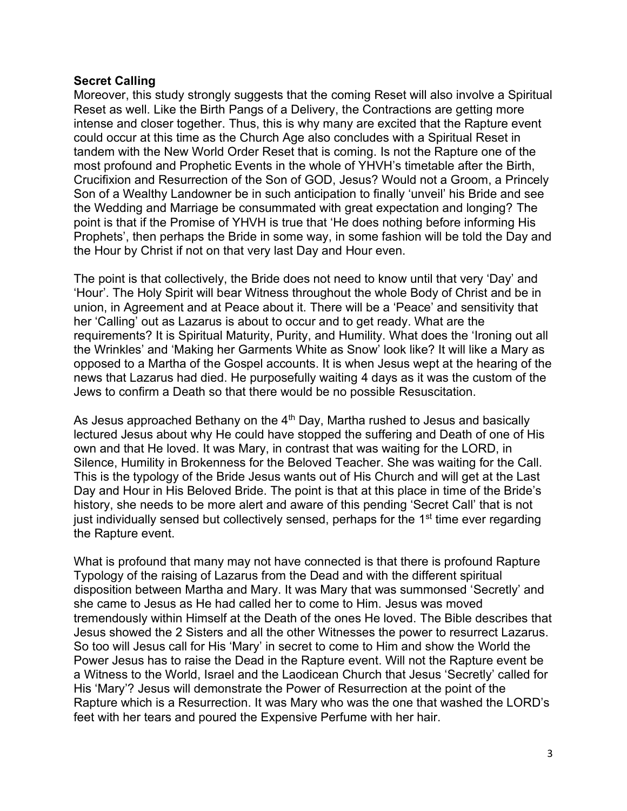## **Secret Calling**

Moreover, this study strongly suggests that the coming Reset will also involve a Spiritual Reset as well. Like the Birth Pangs of a Delivery, the Contractions are getting more intense and closer together. Thus, this is why many are excited that the Rapture event could occur at this time as the Church Age also concludes with a Spiritual Reset in tandem with the New World Order Reset that is coming. Is not the Rapture one of the most profound and Prophetic Events in the whole of YHVH's timetable after the Birth, Crucifixion and Resurrection of the Son of GOD, Jesus? Would not a Groom, a Princely Son of a Wealthy Landowner be in such anticipation to finally 'unveil' his Bride and see the Wedding and Marriage be consummated with great expectation and longing? The point is that if the Promise of YHVH is true that 'He does nothing before informing His Prophets', then perhaps the Bride in some way, in some fashion will be told the Day and the Hour by Christ if not on that very last Day and Hour even.

The point is that collectively, the Bride does not need to know until that very 'Day' and 'Hour'. The Holy Spirit will bear Witness throughout the whole Body of Christ and be in union, in Agreement and at Peace about it. There will be a 'Peace' and sensitivity that her 'Calling' out as Lazarus is about to occur and to get ready. What are the requirements? It is Spiritual Maturity, Purity, and Humility. What does the 'Ironing out all the Wrinkles' and 'Making her Garments White as Snow' look like? It will like a Mary as opposed to a Martha of the Gospel accounts. It is when Jesus wept at the hearing of the news that Lazarus had died. He purposefully waiting 4 days as it was the custom of the Jews to confirm a Death so that there would be no possible Resuscitation.

As Jesus approached Bethany on the  $4<sup>th</sup>$  Day, Martha rushed to Jesus and basically lectured Jesus about why He could have stopped the suffering and Death of one of His own and that He loved. It was Mary, in contrast that was waiting for the LORD, in Silence, Humility in Brokenness for the Beloved Teacher. She was waiting for the Call. This is the typology of the Bride Jesus wants out of His Church and will get at the Last Day and Hour in His Beloved Bride. The point is that at this place in time of the Bride's history, she needs to be more alert and aware of this pending 'Secret Call' that is not just individually sensed but collectively sensed, perhaps for the 1<sup>st</sup> time ever regarding the Rapture event.

What is profound that many may not have connected is that there is profound Rapture Typology of the raising of Lazarus from the Dead and with the different spiritual disposition between Martha and Mary. It was Mary that was summonsed 'Secretly' and she came to Jesus as He had called her to come to Him. Jesus was moved tremendously within Himself at the Death of the ones He loved. The Bible describes that Jesus showed the 2 Sisters and all the other Witnesses the power to resurrect Lazarus. So too will Jesus call for His 'Mary' in secret to come to Him and show the World the Power Jesus has to raise the Dead in the Rapture event. Will not the Rapture event be a Witness to the World, Israel and the Laodicean Church that Jesus 'Secretly' called for His 'Mary'? Jesus will demonstrate the Power of Resurrection at the point of the Rapture which is a Resurrection. It was Mary who was the one that washed the LORD's feet with her tears and poured the Expensive Perfume with her hair.